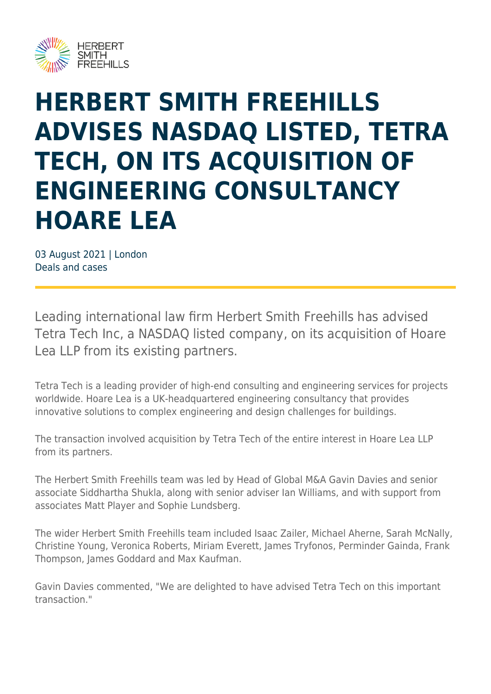

## **HERBERT SMITH FREEHILLS ADVISES NASDAQ LISTED, TETRA TECH, ON ITS ACQUISITION OF ENGINEERING CONSULTANCY HOARE LEA**

03 August 2021 | London Deals and cases

Leading international law firm Herbert Smith Freehills has advised Tetra Tech Inc, a NASDAQ listed company, on its acquisition of Hoare Lea LLP from its existing partners.

Tetra Tech is a leading provider of high-end consulting and engineering services for projects worldwide. Hoare Lea is a UK-headquartered engineering consultancy that provides innovative solutions to complex engineering and design challenges for buildings.

The transaction involved acquisition by Tetra Tech of the entire interest in Hoare Lea LLP from its partners.

The Herbert Smith Freehills team was led by Head of Global M&A Gavin Davies and senior associate Siddhartha Shukla, along with senior adviser Ian Williams, and with support from associates Matt Player and Sophie Lundsberg.

The wider Herbert Smith Freehills team included Isaac Zailer, Michael Aherne, Sarah McNally, Christine Young, Veronica Roberts, Miriam Everett, James Tryfonos, Perminder Gainda, Frank Thompson, James Goddard and Max Kaufman.

Gavin Davies commented, "We are delighted to have advised Tetra Tech on this important transaction."